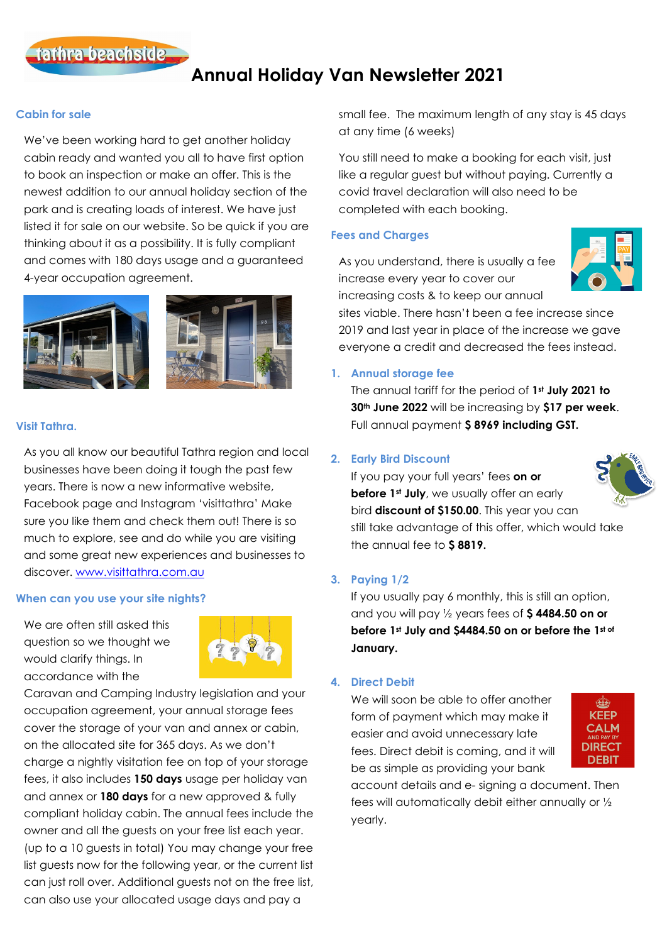

# **Annual Holiday Van Newsletter 2021**

## **Cabin for sale**

We've been working hard to get another holiday cabin ready and wanted you all to have first option to book an inspection or make an offer. This is the newest addition to our annual holiday section of the park and is creating loads of interest. We have just listed it for sale on our website. So be quick if you are thinking about it as a possibility. It is fully compliant and comes with 180 days usage and a guaranteed 4-year occupation agreement.



## **Visit Tathra.**

As you all know our beautiful Tathra region and local businesses have been doing it tough the past few years. There is now a new informative website, Facebook page and Instagram 'visittathra' Make sure you like them and check them out! There is so much to explore, see and do while you are visiting and some great new experiences and businesses to discover. [www.visittathra.com.au](http://www.visittathra.com.au/)

## **When can you use your site nights?**

We are often still asked this question so we thought we would clarify things. In accordance with the



Caravan and Camping Industry legislation and your occupation agreement, your annual storage fees cover the storage of your van and annex or cabin, on the allocated site for 365 days. As we don't charge a nightly visitation fee on top of your storage fees, it also includes **150 days** usage per holiday van and annex or **180 days** for a new approved & fully compliant holiday cabin. The annual fees include the owner and all the guests on your free list each year. (up to a 10 guests in total) You may change your free list guests now for the following year, or the current list can just roll over. Additional guests not on the free list, can also use your allocated usage days and pay a

small fee. The maximum length of any stay is 45 days at any time (6 weeks)

You still need to make a booking for each visit, just like a regular guest but without paying. Currently a covid travel declaration will also need to be completed with each booking.

## **Fees and Charges**

As you understand, there is usually a fee increase every year to cover our increasing costs & to keep our annual



sites viable. There hasn't been a fee increase since 2019 and last year in place of the increase we gave everyone a credit and decreased the fees instead.

# **1. Annual storage fee**

The annual tariff for the period of **1st July 2021 to 30th June 2022** will be increasing by **\$17 per week**. Full annual payment **\$ 8969 including GST.**

# **2. Early Bird Discount**

If you pay your full years' fees **on or before 1st July**, we usually offer an early bird **discount of \$150.00**. This year you can still take advantage of this offer, which would take the annual fee to **\$ 8819.**

## **3. Paying 1/2**

If you usually pay 6 monthly, this is still an option, and you will pay ½ years fees of **\$ 4484.50 on or before 1st July and \$4484.50 on or before the 1st of January.**

## **4. Direct Debit**

We will soon be able to offer another form of payment which may make it easier and avoid unnecessary late fees. Direct debit is coming, and it will be as simple as providing your bank



account details and e- signing a document. Then fees will automatically debit either annually or ½ yearly.